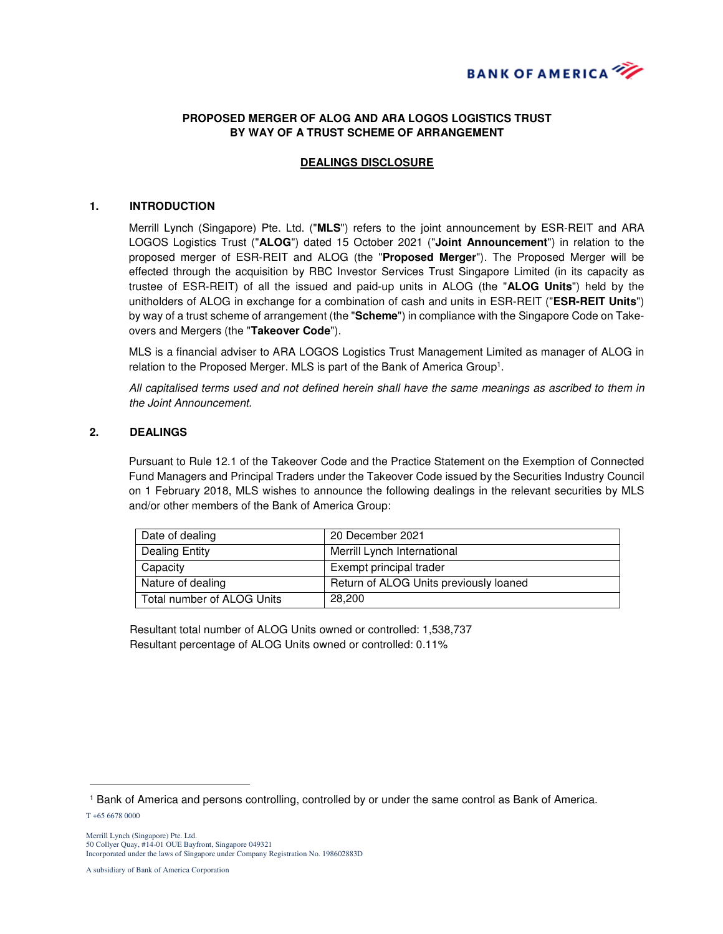

# **PROPOSED MERGER OF ALOG AND ARA LOGOS LOGISTICS TRUST BY WAY OF A TRUST SCHEME OF ARRANGEMENT**

## **DEALINGS DISCLOSURE**

#### **1. INTRODUCTION**

Merrill Lynch (Singapore) Pte. Ltd. ("**MLS**") refers to the joint announcement by ESR-REIT and ARA LOGOS Logistics Trust ("**ALOG**") dated 15 October 2021 ("**Joint Announcement**") in relation to the proposed merger of ESR-REIT and ALOG (the "**Proposed Merger**"). The Proposed Merger will be effected through the acquisition by RBC Investor Services Trust Singapore Limited (in its capacity as trustee of ESR-REIT) of all the issued and paid-up units in ALOG (the "**ALOG Units**") held by the unitholders of ALOG in exchange for a combination of cash and units in ESR-REIT ("**ESR-REIT Units**") by way of a trust scheme of arrangement (the "**Scheme**") in compliance with the Singapore Code on Takeovers and Mergers (the "**Takeover Code**").

MLS is a financial adviser to ARA LOGOS Logistics Trust Management Limited as manager of ALOG in relation to the Proposed Merger. MLS is part of the Bank of America Group<sup>1</sup>.

All capitalised terms used and not defined herein shall have the same meanings as ascribed to them in the Joint Announcement.

### **2. DEALINGS**

Pursuant to Rule 12.1 of the Takeover Code and the Practice Statement on the Exemption of Connected Fund Managers and Principal Traders under the Takeover Code issued by the Securities Industry Council on 1 February 2018, MLS wishes to announce the following dealings in the relevant securities by MLS and/or other members of the Bank of America Group:

| Date of dealing              | 20 December 2021                       |
|------------------------------|----------------------------------------|
| Dealing Entity               | Merrill Lynch International            |
| Capacity                     | Exempt principal trader                |
| Nature of dealing            | Return of ALOG Units previously loaned |
| l Total number of ALOG Units | 28,200                                 |

Resultant total number of ALOG Units owned or controlled: 1,538,737 Resultant percentage of ALOG Units owned or controlled: 0.11%

 $\overline{a}$ 

<sup>1</sup> Bank of America and persons controlling, controlled by or under the same control as Bank of America.

T +65 6678 0000